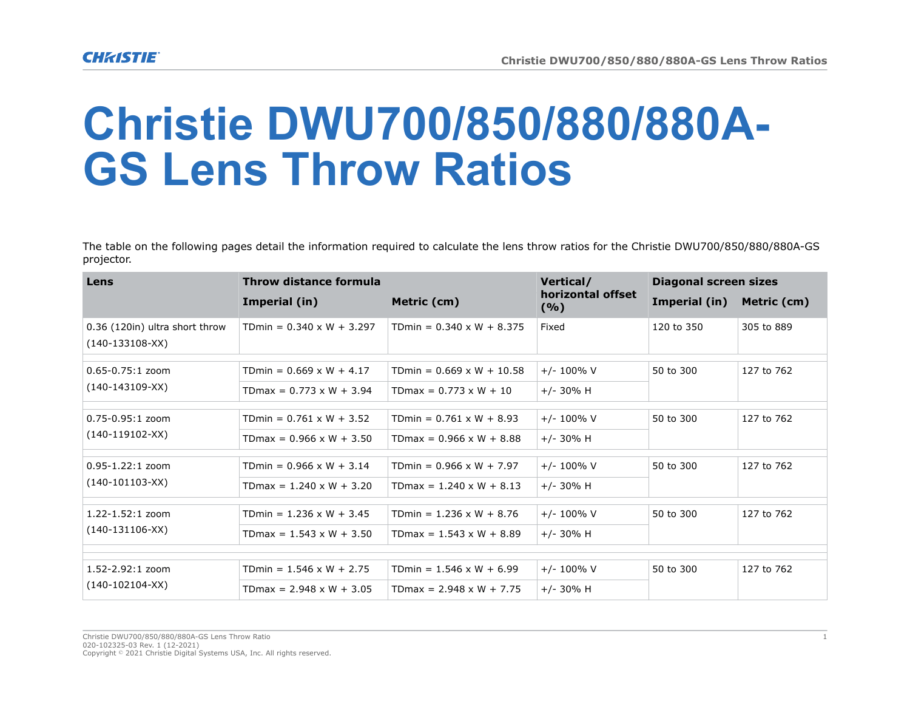## **Christie DWU700/850/880/880A-GS Lens Throw Ratios**

The table on the following pages detail the information required to calculate the lens throw ratios for the Christie DWU700/850/880/880A-GS projector.

| Lens                                                | Throw distance formula           |                                  | Vertical/                | <b>Diagonal screen sizes</b> |             |
|-----------------------------------------------------|----------------------------------|----------------------------------|--------------------------|------------------------------|-------------|
|                                                     | Imperial (in)                    | Metric (cm)                      | horizontal offset<br>(%) | Imperial (in)                | Metric (cm) |
| 0.36 (120in) ultra short throw<br>$(140-133108-XX)$ | TDmin = $0.340 \times W + 3.297$ | TDmin = $0.340 \times W + 8.375$ | Fixed                    | 120 to 350                   | 305 to 889  |
| $0.65 - 0.75:1$ zoom<br>$(140-143109-XX)$           | TDmin = $0.669 \times W + 4.17$  | TDmin = $0.669 \times W + 10.58$ | $+/- 100\%$ V            | 50 to 300                    | 127 to 762  |
|                                                     | TDmax = $0.773 \times W + 3.94$  | TDmax = $0.773 \times W + 10$    | $+/- 30\%$ H             |                              |             |
| 0.75-0.95:1 zoom<br>$(140-119102-XX)$               | TDmin = $0.761 \times W + 3.52$  | TDmin = $0.761 \times W + 8.93$  | $+/- 100\%$ V            | 50 to 300                    | 127 to 762  |
|                                                     | TDmax = $0.966 \times W + 3.50$  | TDmax = $0.966 \times W + 8.88$  | $+/- 30\%$ H             |                              |             |
| $0.95 - 1.22:1$ zoom<br>$(140-101103-XX)$           | TDmin = $0.966 \times W + 3.14$  | TDmin = $0.966 \times W + 7.97$  | $+/- 100\%$ V            | 50 to 300                    | 127 to 762  |
|                                                     | TDmax = $1.240 \times W + 3.20$  | TDmax = $1.240 \times W + 8.13$  | $+/- 30\%$ H             |                              |             |
| $1.22 - 1.52:1$ zoom<br>$(140-131106-XX)$           | TDmin = $1.236 \times W + 3.45$  | TDmin = $1.236 \times W + 8.76$  | $+/- 100\%$ V            | 50 to 300                    | 127 to 762  |
|                                                     | TDmax = $1.543 \times W + 3.50$  | TDmax = $1.543 \times W + 8.89$  | $+/- 30\%$ H             |                              |             |
|                                                     |                                  |                                  |                          |                              |             |
| 1.52-2.92:1 zoom<br>$(140-102104-XX)$               | TDmin = $1.546 \times W + 2.75$  | TDmin = $1.546 \times W + 6.99$  | $+/- 100\%$ V            | 50 to 300                    | 127 to 762  |
|                                                     | TDmax = $2.948 \times W + 3.05$  | TDmax = $2.948 \times W + 7.75$  | $+/- 30\%$ H             |                              |             |